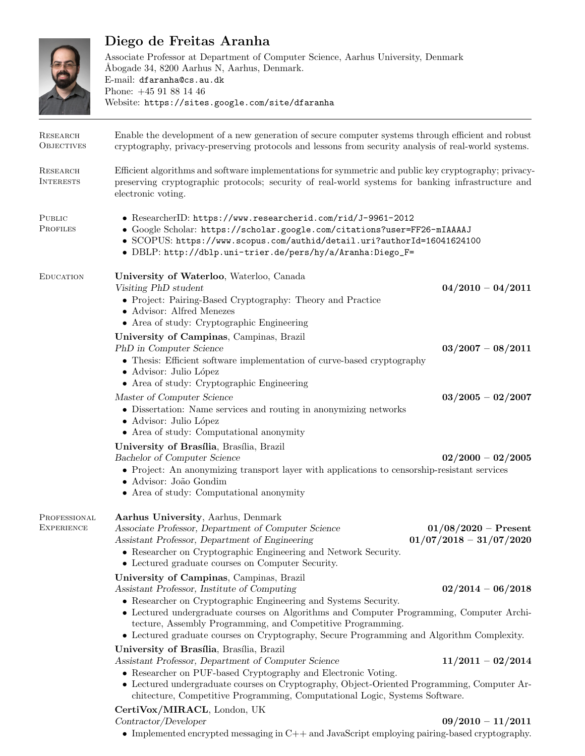

## Diego de Freitas Aranha

Associate Professor at Department of Computer Science, Aarhus University, Denmark Åbogade 34, 8200 Aarhus N, Aarhus, Denmark. E-mail: dfaranha@cs.au.dk Phone: +45 91 88 14 46 Website: https://sites.google.com/site/dfaranha

| <b>RESEARCH</b><br><b>OBJECTIVES</b> | Enable the development of a new generation of secure computer systems through efficient and robust<br>cryptography, privacy-preserving protocols and lessons from security analysis of real-world systems.                                                                                                                                     |                                                     |  |
|--------------------------------------|------------------------------------------------------------------------------------------------------------------------------------------------------------------------------------------------------------------------------------------------------------------------------------------------------------------------------------------------|-----------------------------------------------------|--|
| RESEARCH<br><b>INTERESTS</b>         | Efficient algorithms and software implementations for symmetric and public key cryptography; privacy-<br>preserving cryptographic protocols; security of real-world systems for banking infrastructure and<br>electronic voting.                                                                                                               |                                                     |  |
| PUBLIC<br><b>PROFILES</b>            | • ResearcherID: https://www.researcherid.com/rid/J-9961-2012<br>• Google Scholar: https://scholar.google.com/citations?user=FF26-mIAAAAJ<br>• SCOPUS: https://www.scopus.com/authid/detail.uri?authorId=16041624100<br>• DBLP: http://dblp.uni-trier.de/pers/hy/a/Aranha:Diego_F=                                                              |                                                     |  |
| <b>EDUCATION</b>                     | University of Waterloo, Waterloo, Canada<br>Visiting PhD student<br>• Project: Pairing-Based Cryptography: Theory and Practice<br>• Advisor: Alfred Menezes<br>• Area of study: Cryptographic Engineering                                                                                                                                      | $04/2010 - 04/2011$                                 |  |
|                                      | University of Campinas, Campinas, Brazil<br>PhD in Computer Science<br>• Thesis: Efficient software implementation of curve-based cryptography<br>• Advisor: Julio López<br>• Area of study: Cryptographic Engineering                                                                                                                         | $03/2007 - 08/2011$                                 |  |
|                                      | Master of Computer Science<br>$\bullet\,$ Dissertation: Name services and routing in a<br>nonymizing networks<br>· Advisor: Julio López<br>• Area of study: Computational anonymity                                                                                                                                                            | $03/2005 - 02/2007$                                 |  |
|                                      | University of Brasília, Brasília, Brazil<br>Bachelor of Computer Science<br>• Project: An anonymizing transport layer with applications to censorship-resistant services<br>· Advisor: João Gondim<br>• Area of study: Computational anonymity                                                                                                 | $02/2000 - 02/2005$                                 |  |
| PROFESSIONAL<br><b>EXPERIENCE</b>    | Aarhus University, Aarhus, Denmark<br>Associate Professor, Department of Computer Science<br>Assistant Professor, Department of Engineering<br>• Researcher on Cryptographic Engineering and Network Security.<br>• Lectured graduate courses on Computer Security.                                                                            | $01/08/2020$ – Present<br>$01/07/2018 - 31/07/2020$ |  |
|                                      | University of Campinas, Campinas, Brazil<br>Assistant Professor, Institute of Computing<br>• Researcher on Cryptographic Engineering and Systems Security.                                                                                                                                                                                     | $02/2014 - 06/2018$                                 |  |
|                                      | • Lectured undergraduate courses on Algorithms and Computer Programming, Computer Archi-<br>tecture, Assembly Programming, and Competitive Programming.<br>• Lectured graduate courses on Cryptography, Secure Programming and Algorithm Complexity.                                                                                           |                                                     |  |
|                                      | University of Brasília, Brasília, Brazil<br>Assistant Professor, Department of Computer Science<br>• Researcher on PUF-based Cryptography and Electronic Voting.<br>• Lectured undergraduate courses on Cryptography, Object-Oriented Programming, Computer Ar-<br>chitecture, Competitive Programming, Computational Logic, Systems Software. | $11/2011 - 02/2014$                                 |  |
|                                      | CertiVox/MIRACL, London, UK<br>Contractor/Developer<br>• Implemented encrypted messaging in $C++$ and JavaScript employing pairing-based cryptography.                                                                                                                                                                                         | $09/2010 - 11/2011$                                 |  |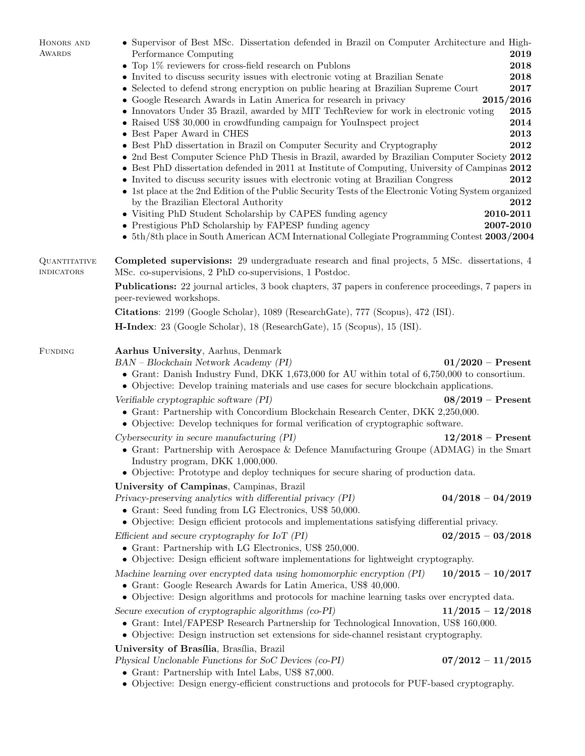| HONORS AND                               | • Supervisor of Best MSc. Dissertation defended in Brazil on Computer Architecture and High-                                                                                                                                                                 |                     |  |  |  |
|------------------------------------------|--------------------------------------------------------------------------------------------------------------------------------------------------------------------------------------------------------------------------------------------------------------|---------------------|--|--|--|
| AWARDS                                   | Performance Computing                                                                                                                                                                                                                                        | 2019                |  |  |  |
|                                          | • Top $1\%$ reviewers for cross-field research on Publons                                                                                                                                                                                                    | 2018                |  |  |  |
|                                          | • Invited to discuss security issues with electronic voting at Brazilian Senate                                                                                                                                                                              | 2018<br>2017        |  |  |  |
|                                          | • Selected to defend strong encryption on public hearing at Brazilian Supreme Court<br>2015/2016<br>• Google Research Awards in Latin America for research in privacy                                                                                        |                     |  |  |  |
|                                          | • Innovators Under 35 Brazil, awarded by MIT TechReview for work in electronic voting                                                                                                                                                                        | 2015                |  |  |  |
|                                          | • Raised US\$ 30,000 in crowdfunding campaign for YouInspect project                                                                                                                                                                                         | 2014                |  |  |  |
|                                          | • Best Paper Award in CHES                                                                                                                                                                                                                                   | 2013                |  |  |  |
|                                          | • Best PhD dissertation in Brazil on Computer Security and Cryptography                                                                                                                                                                                      | 2012                |  |  |  |
|                                          | • 2nd Best Computer Science PhD Thesis in Brazil, awarded by Brazilian Computer Society 2012                                                                                                                                                                 |                     |  |  |  |
|                                          | • Best PhD dissertation defended in 2011 at Institute of Computing, University of Campinas 2012                                                                                                                                                              |                     |  |  |  |
|                                          | • Invited to discuss security issues with electronic voting at Brazilian Congress<br>• 1st place at the 2nd Edition of the Public Security Tests of the Electronic Voting System organized                                                                   | 2012                |  |  |  |
|                                          | by the Brazilian Electoral Authority                                                                                                                                                                                                                         | 2012                |  |  |  |
|                                          | • Visiting PhD Student Scholarship by CAPES funding agency                                                                                                                                                                                                   | 2010-2011           |  |  |  |
|                                          | • Prestigious PhD Scholarship by FAPESP funding agency                                                                                                                                                                                                       | 2007-2010           |  |  |  |
|                                          | • 5th/8th place in South American ACM International Collegiate Programming Contest 2003/2004                                                                                                                                                                 |                     |  |  |  |
| <b>QUANTITATIVE</b><br><b>INDICATORS</b> | <b>Completed supervisions:</b> 29 undergraduate research and final projects, 5 MSc. dissertations, 4<br>MSc. co-supervisions, 2 PhD co-supervisions, 1 Postdoc.                                                                                              |                     |  |  |  |
|                                          | <b>Publications:</b> 22 journal articles, 3 book chapters, 37 papers in conference proceedings, 7 papers in<br>peer-reviewed workshops.                                                                                                                      |                     |  |  |  |
|                                          | Citations: 2199 (Google Scholar), 1089 (ResearchGate), 777 (Scopus), 472 (ISI).                                                                                                                                                                              |                     |  |  |  |
|                                          | <b>H-Index</b> : 23 (Google Scholar), 18 (ResearchGate), 15 (Scopus), 15 (ISI).                                                                                                                                                                              |                     |  |  |  |
| <b>FUNDING</b>                           | Aarhus University, Aarhus, Denmark                                                                                                                                                                                                                           |                     |  |  |  |
|                                          | $BAN - Blockchain Network Academy(PI)$<br>$01/2020$ – Present<br>• Grant: Danish Industry Fund, DKK 1,673,000 for AU within total of $6,750,000$ to consortium.<br>• Objective: Develop training materials and use cases for secure blockchain applications. |                     |  |  |  |
|                                          | Verifiable cryptographic software (PI)                                                                                                                                                                                                                       | $08/2019$ – Present |  |  |  |
|                                          | • Grant: Partnership with Concordium Blockchain Research Center, DKK 2,250,000.<br>• Objective: Develop techniques for formal verification of cryptographic software.                                                                                        |                     |  |  |  |
|                                          | $Cy$ bersecurity in secure manufacturing $(PI)$                                                                                                                                                                                                              | $12/2018$ – Present |  |  |  |
|                                          | • Grant: Partnership with Aerospace & Defence Manufacturing Groupe (ADMAG) in the Smart<br>Industry program, DKK 1,000,000.                                                                                                                                  |                     |  |  |  |
|                                          | • Objective: Prototype and deploy techniques for secure sharing of production data.                                                                                                                                                                          |                     |  |  |  |
|                                          | University of Campinas, Campinas, Brazil                                                                                                                                                                                                                     |                     |  |  |  |
|                                          | Privacy-preserving analytics with differential privacy (PI)                                                                                                                                                                                                  | $04/2018 - 04/2019$ |  |  |  |
|                                          | • Grant: Seed funding from LG Electronics, US\$ 50,000.<br>• Objective: Design efficient protocols and implementations satisfying differential privacy.                                                                                                      |                     |  |  |  |
|                                          |                                                                                                                                                                                                                                                              | $02/2015 - 03/2018$ |  |  |  |
|                                          | Efficient and secure cryptography for $I \circ T$ (PI)<br>• Grant: Partnership with LG Electronics, US\$ 250,000.<br>• Objective: Design efficient software implementations for lightweight cryptography.                                                    |                     |  |  |  |
|                                          | Machine learning over encrypted data using homomorphic encryption (PI)                                                                                                                                                                                       | $10/2015 - 10/2017$ |  |  |  |
|                                          | • Grant: Google Research Awards for Latin America, US\$ 40,000.<br>• Objective: Design algorithms and protocols for machine learning tasks over encrypted data.                                                                                              |                     |  |  |  |
|                                          | Secure execution of cryptographic algorithms (co-PI)                                                                                                                                                                                                         | $11/2015 - 12/2018$ |  |  |  |
|                                          | • Grant: Intel/FAPESP Research Partnership for Technological Innovation, US\$ 160,000.<br>• Objective: Design instruction set extensions for side-channel resistant cryptography.                                                                            |                     |  |  |  |
|                                          | University of Brasília, Brasília, Brazil                                                                                                                                                                                                                     |                     |  |  |  |
|                                          | Physical Unclonable Functions for SoC Devices (co-PI)<br>• Grant: Partnership with Intel Labs, US\$ 87,000.                                                                                                                                                  | $07/2012 - 11/2015$ |  |  |  |
|                                          | • Objective: Design energy-efficient constructions and protocols for PUF-based cryptography.                                                                                                                                                                 |                     |  |  |  |
|                                          |                                                                                                                                                                                                                                                              |                     |  |  |  |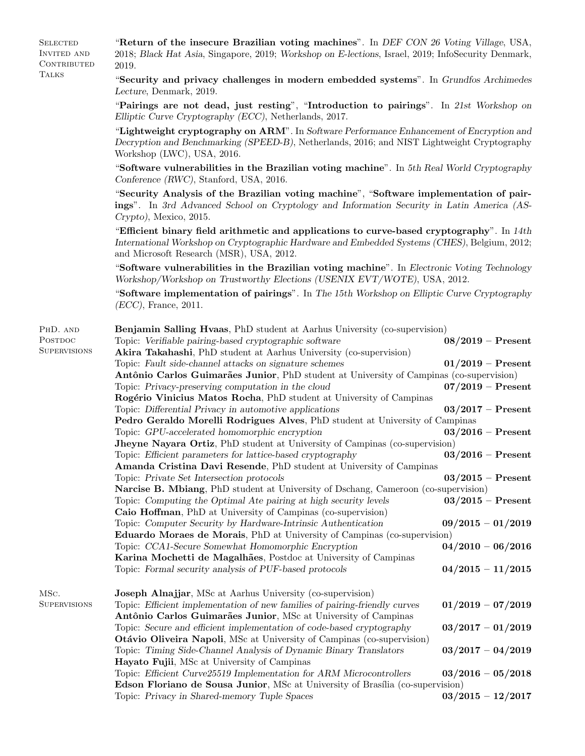| <b>SELECTED</b><br>INVITED AND<br>CONTRIBUTED | "Return of the insecure Brazilian voting machines". In DEF CON 26 Voting Village, USA,<br>2018; Black Hat Asia, Singapore, 2019; Workshop on E-lections, Israel, 2019; InfoSecurity Denmark,<br>2019.                                                                          |                                            |  |
|-----------------------------------------------|--------------------------------------------------------------------------------------------------------------------------------------------------------------------------------------------------------------------------------------------------------------------------------|--------------------------------------------|--|
| <b>TALKS</b>                                  | "Security and privacy challenges in modern embedded systems". In Grundfos Archimedes<br>Lecture, Denmark, 2019.                                                                                                                                                                |                                            |  |
|                                               | "Pairings are not dead, just resting", "Introduction to pairings". In 21st Workshop on<br>Elliptic Curve Cryptography (ECC), Netherlands, 2017.                                                                                                                                |                                            |  |
|                                               | "Lightweight cryptography on ARM". In Software Performance Enhancement of Encryption and<br>Decryption and Benchmarking (SPEED-B), Netherlands, 2016; and NIST Lightweight Cryptography<br>Workshop (LWC), USA, 2016.                                                          |                                            |  |
|                                               | "Software vulnerabilities in the Brazilian voting machine". In 5th Real World Cryptography<br>Conference (RWC), Stanford, USA, 2016.                                                                                                                                           |                                            |  |
|                                               | "Security Analysis of the Brazilian voting machine", "Software implementation of pair-<br>ings". In 3rd Advanced School on Cryptology and Information Security in Latin America (AS-<br>$Crypto$ , Mexico, 2015.                                                               |                                            |  |
|                                               | "Efficient binary field arithmetic and applications to curve-based cryptography". In 14th<br>International Workshop on Cryptographic Hardware and Embedded Systems (CHES), Belgium, 2012;<br>and Microsoft Research (MSR), USA, 2012.                                          |                                            |  |
|                                               | "Software vulnerabilities in the Brazilian voting machine". In Electronic Voting Technology<br>Workshop/Workshop on Trustworthy Elections (USENIX EVT/WOTE), USA, 2012.                                                                                                        |                                            |  |
|                                               | "Software implementation of pairings". In The 15th Workshop on Elliptic Curve Cryptography<br>$(ECC)$ , France, 2011.                                                                                                                                                          |                                            |  |
| PHD. AND<br>POSTDOC<br><b>SUPERVISIONS</b>    | <b>Benjamin Salling Hvaas</b> , PhD student at Aarhus University (co-supervision)<br>Topic: Verifiable pairing-based cryptographic software<br>Akira Takahashi, PhD student at Aarhus University (co-supervision)                                                              | $08/2019$ – Present                        |  |
|                                               | Topic: Fault side-channel attacks on signature schemes<br>Antônio Carlos Guimarães Junior, PhD student at University of Campinas (co-supervision)<br>Topic: Privacy-preserving computation in the cloud<br>Rogério Vinicius Matos Rocha, PhD student at University of Campinas | $01/2019$ – Present<br>$07/2019$ – Present |  |
|                                               | Topic: Differential Privacy in automotive applications<br>Pedro Geraldo Morelli Rodrigues Alves, PhD student at University of Campinas                                                                                                                                         | $03/2017$ – Present                        |  |
|                                               | Topic: GPU-accelerated homomorphic encryption<br>Jheyne Nayara Ortiz, PhD student at University of Campinas (co-supervision)                                                                                                                                                   | $03/2016$ – Present                        |  |
|                                               | Topic: Efficient parameters for lattice-based cryptography<br>Amanda Cristina Davi Resende, PhD student at University of Campinas<br>Topic: Private Set Intersection protocols                                                                                                 | $03/2016$ – Present<br>$03/2015$ – Present |  |
|                                               | Narcise B. Mbiang, PhD student at University of Dschang, Cameroon (co-supervision)                                                                                                                                                                                             |                                            |  |
|                                               | Topic: Computing the Optimal Ate pairing at high security levels<br>Caio Hoffman, PhD at University of Campinas (co-supervision)<br>Topic: Computer Security by Hardware-Intrinsic Authentication                                                                              | $03/2015$ – Present<br>$09/2015 - 01/2019$ |  |
|                                               | <b>Eduardo Moraes de Morais, PhD at University of Campinas (co-supervision)</b>                                                                                                                                                                                                |                                            |  |
|                                               | Topic: CCA1-Secure Somewhat Homomorphic Encryption<br>Karina Mochetti de Magalhães, Postdoc at University of Campinas                                                                                                                                                          | $04/2010 - 06/2016$                        |  |
|                                               | Topic: Formal security analysis of PUF-based protocols                                                                                                                                                                                                                         | $04/2015 - 11/2015$                        |  |
| MSC.<br><b>SUPERVISIONS</b>                   | Joseph Alnajjar, MSc at Aarhus University (co-supervision)<br>Topic: Efficient implementation of new families of pairing-friendly curves<br>Antônio Carlos Guimarães Junior, MSc at University of Campinas                                                                     | $01/2019 - 07/2019$                        |  |
|                                               | Topic: Secure and efficient implementation of code-based cryptography<br>Otávio Oliveira Napoli, MSc at University of Campinas (co-supervision)                                                                                                                                | $03/2017 - 01/2019$                        |  |
|                                               | Topic: Timing Side-Channel Analysis of Dynamic Binary Translators<br>Hayato Fujii, MSc at University of Campinas                                                                                                                                                               | $03/2017 - 04/2019$                        |  |
|                                               | Topic: Efficient Curve25519 Implementation for ARM Microcontrollers<br>Edson Floriano de Sousa Junior, MSc at University of Brasília (co-supervision)                                                                                                                          | $03/2016 - 05/2018$                        |  |
|                                               | Topic: Privacy in Shared-memory Tuple Spaces                                                                                                                                                                                                                                   | $03/2015 - 12/2017$                        |  |